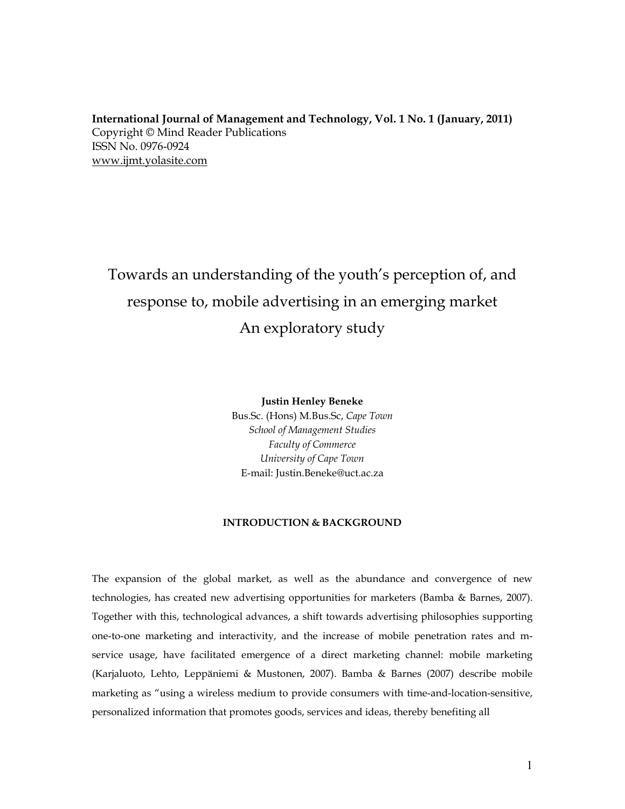**International Journal of Management and Technology, Vol. 1 No. 1 (January, 2011)** Copyright © Mind Reader Publications ISSN No. 0976-0924 www.ijmt.yolasite.com

# Towards an understanding of the youth's perception of, and response to, mobile advertising in an emerging market An exploratory study

**Justin Henley Beneke**

Bus.Sc. (Hons) M.Bus.Sc, *Cape Town School of Management Studies Faculty of Commerce University of Cape Town* E-mail: [Justin.Beneke@uct.ac.za](mailto:Justin.Beneke@uct.ac.za)

#### **INTRODUCTION & BACKGROUND**

The expansion of the global market, as well as the abundance and convergence of new technologies, has created new advertising opportunities for marketers (Bamba & Barnes, 2007). Together with this, technological advances, a shift towards advertising philosophies supporting one-to-one marketing and interactivity, and the increase of mobile penetration rates and mservice usage, have facilitated emergence of a direct marketing channel: mobile marketing (Karjaluoto, Lehto, Leppäniemi & Mustonen, 2007). Bamba & Barnes (2007) describe mobile marketing as "using a wireless medium to provide consumers with time-and-location-sensitive, personalized information that promotes goods, services and ideas, thereby benefiting all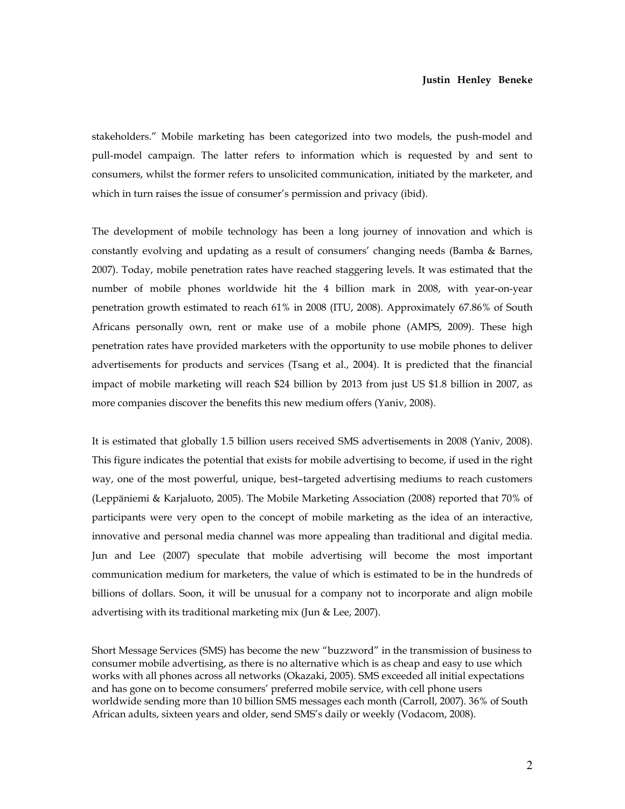stakeholders." Mobile marketing has been categorized into two models, the push-model and pull-model campaign. The latter refers to information which is requested by and sent to consumers, whilst the former refers to unsolicited communication, initiated by the marketer, and which in turn raises the issue of consumer's permission and privacy (ibid).

The development of mobile technology has been a long journey of innovation and which is constantly evolving and updating as a result of consumers' changing needs (Bamba & Barnes, 2007). Today, mobile penetration rates have reached staggering levels. It was estimated that the number of mobile phones worldwide hit the 4 billion mark in 2008, with year-on-year penetration growth estimated to reach 61% in 2008 (ITU, 2008). Approximately 67.86% of South Africans personally own, rent or make use of a mobile phone (AMPS, 2009). These high penetration rates have provided marketers with the opportunity to use mobile phones to deliver advertisements for products and services (Tsang et al., 2004). It is predicted that the financial impact of mobile marketing will reach \$24 billion by 2013 from just US \$1.8 billion in 2007, as more companies discover the benefits this new medium offers (Yaniv, 2008).

It is estimated that globally 1.5 billion users received SMS advertisements in 2008 (Yaniv, 2008). This figure indicates the potential that exists for mobile advertising to become, if used in the right way, one of the most powerful, unique, best–targeted advertising mediums to reach customers (Leppäniemi & Karjaluoto, 2005). The Mobile Marketing Association (2008) reported that 70% of participants were very open to the concept of mobile marketing as the idea of an interactive, innovative and personal media channel was more appealing than traditional and digital media. Jun and Lee (2007) speculate that mobile advertising will become the most important communication medium for marketers, the value of which is estimated to be in the hundreds of billions of dollars. Soon, it will be unusual for a company not to incorporate and align mobile advertising with its traditional marketing mix (Jun & Lee, 2007).

Short Message Services (SMS) has become the new "buzzword" in the transmission of business to consumer mobile advertising, as there is no alternative which is as cheap and easy to use which works with all phones across all networks (Okazaki, 2005). SMS exceeded all initial expectations and has gone on to become consumers' preferred mobile service, with cell phone users worldwide sending more than 10 billion SMS messages each month (Carroll, 2007). 36% of South African adults, sixteen years and older, send SMS's daily or weekly (Vodacom, 2008).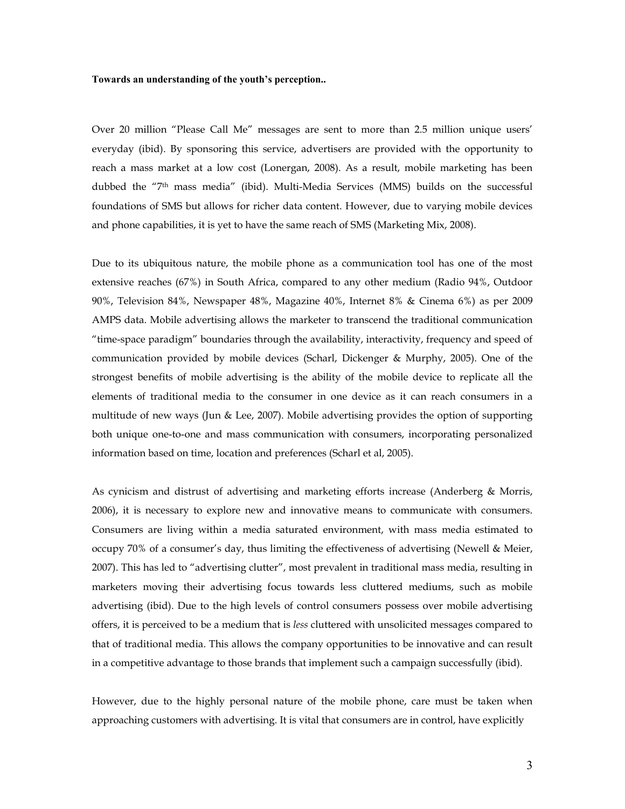Over 20 million "Please Call Me" messages are sent to more than 2.5 million unique users' everyday (ibid). By sponsoring this service, advertisers are provided with the opportunity to reach a mass market at a low cost (Lonergan, 2008). As a result, mobile marketing has been dubbed the "7th mass media" (ibid). Multi-Media Services (MMS) builds on the successful foundations of SMS but allows for richer data content. However, due to varying mobile devices and phone capabilities, it is yet to have the same reach of SMS (Marketing Mix, 2008).

Due to its ubiquitous nature, the mobile phone as a communication tool has one of the most extensive reaches (67%) in South Africa, compared to any other medium (Radio 94%, Outdoor 90%, Television 84%, Newspaper 48%, Magazine 40%, Internet 8% & Cinema 6%) as per 2009 AMPS data. Mobile advertising allows the marketer to transcend the traditional communication "time-space paradigm" boundaries through the availability, interactivity, frequency and speed of communication provided by mobile devices (Scharl, Dickenger & Murphy, 2005). One of the strongest benefits of mobile advertising is the ability of the mobile device to replicate all the elements of traditional media to the consumer in one device as it can reach consumers in a multitude of new ways (Jun & Lee, 2007). Mobile advertising provides the option of supporting both unique one-to-one and mass communication with consumers, incorporating personalized information based on time, location and preferences (Scharl et al, 2005).

As cynicism and distrust of advertising and marketing efforts increase (Anderberg & Morris, 2006), it is necessary to explore new and innovative means to communicate with consumers. Consumers are living within a media saturated environment, with mass media estimated to occupy 70% of a consumer's day, thus limiting the effectiveness of advertising (Newell & Meier, 2007). This has led to "advertising clutter", most prevalent in traditional mass media, resulting in marketers moving their advertising focus towards less cluttered mediums, such as mobile advertising (ibid). Due to the high levels of control consumers possess over mobile advertising offers, it is perceived to be a medium that is *less* cluttered with unsolicited messages compared to that of traditional media. This allows the company opportunities to be innovative and can result in a competitive advantage to those brands that implement such a campaign successfully (ibid).

However, due to the highly personal nature of the mobile phone, care must be taken when approaching customers with advertising. It is vital that consumers are in control, have explicitly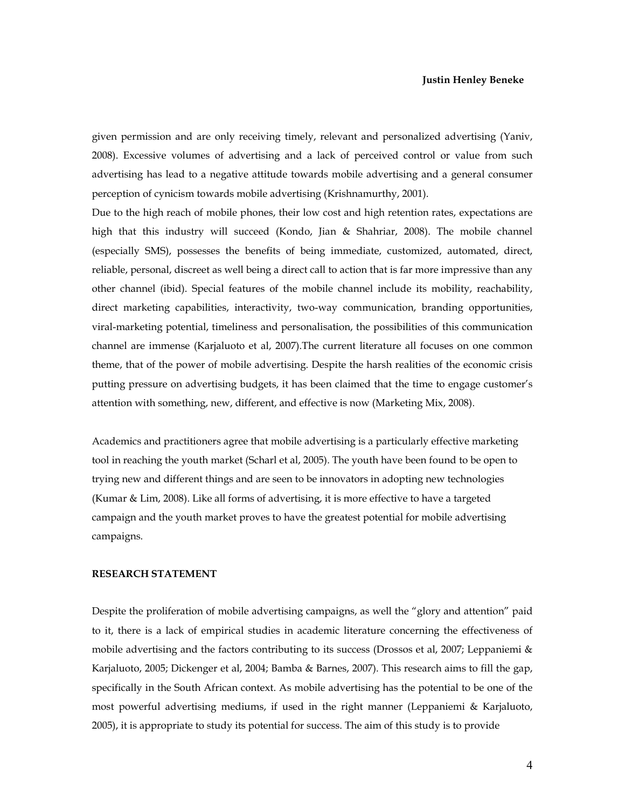given permission and are only receiving timely, relevant and personalized advertising (Yaniv, 2008). Excessive volumes of advertising and a lack of perceived control or value from such advertising has lead to a negative attitude towards mobile advertising and a general consumer perception of cynicism towards mobile advertising (Krishnamurthy, 2001).

Due to the high reach of mobile phones, their low cost and high retention rates, expectations are high that this industry will succeed (Kondo, Jian & Shahriar, 2008). The mobile channel (especially SMS), possesses the benefits of being immediate, customized, automated, direct, reliable, personal, discreet as well being a direct call to action that is far more impressive than any other channel (ibid). Special features of the mobile channel include its mobility, reachability, direct marketing capabilities, interactivity, two-way communication, branding opportunities, viral-marketing potential, timeliness and personalisation, the possibilities of this communication channel are immense (Karjaluoto et al, 2007).The current literature all focuses on one common theme, that of the power of mobile advertising. Despite the harsh realities of the economic crisis putting pressure on advertising budgets, it has been claimed that the time to engage customer's attention with something, new, different, and effective is now (Marketing Mix, 2008).

Academics and practitioners agree that mobile advertising is a particularly effective marketing tool in reaching the youth market (Scharl et al, 2005). The youth have been found to be open to trying new and different things and are seen to be innovators in adopting new technologies (Kumar & Lim, 2008). Like all forms of advertising, it is more effective to have a targeted campaign and the youth market proves to have the greatest potential for mobile advertising campaigns.

#### **RESEARCH STATEMENT**

Despite the proliferation of mobile advertising campaigns, as well the "glory and attention" paid to it, there is a lack of empirical studies in academic literature concerning the effectiveness of mobile advertising and the factors contributing to its success (Drossos et al, 2007; Leppaniemi & Karjaluoto, 2005; Dickenger et al, 2004; Bamba & Barnes, 2007). This research aims to fill the gap, specifically in the South African context. As mobile advertising has the potential to be one of the most powerful advertising mediums, if used in the right manner (Leppaniemi & Karjaluoto, 2005), it is appropriate to study its potential for success. The aim of this study is to provide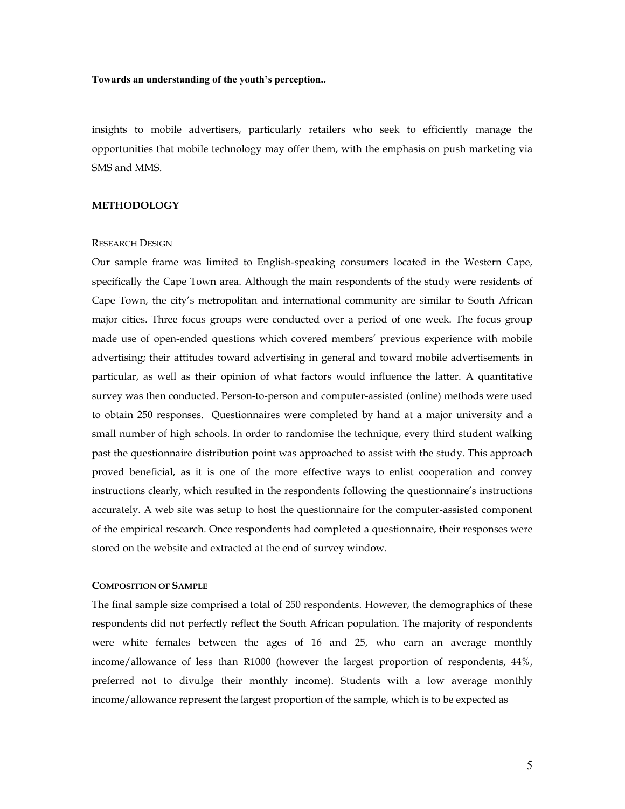insights to mobile advertisers, particularly retailers who seek to efficiently manage the opportunities that mobile technology may offer them, with the emphasis on push marketing via SMS and MMS.

#### **METHODOLOGY**

#### RESEARCH DESIGN

Our sample frame was limited to English-speaking consumers located in the Western Cape, specifically the Cape Town area. Although the main respondents of the study were residents of Cape Town, the city's metropolitan and international community are similar to South African major cities. Three focus groups were conducted over a period of one week. The focus group made use of open-ended questions which covered members' previous experience with mobile advertising; their attitudes toward advertising in general and toward mobile advertisements in particular, as well as their opinion of what factors would influence the latter. A quantitative survey was then conducted. Person-to-person and computer-assisted (online) methods were used to obtain 250 responses. Questionnaires were completed by hand at a major university and a small number of high schools. In order to randomise the technique, every third student walking past the questionnaire distribution point was approached to assist with the study. This approach proved beneficial, as it is one of the more effective ways to enlist cooperation and convey instructions clearly, which resulted in the respondents following the questionnaire's instructions accurately. A web site was setup to host the questionnaire for the computer-assisted component of the empirical research. Once respondents had completed a questionnaire, their responses were stored on the website and extracted at the end of survey window.

#### **COMPOSITION OF SAMPLE**

The final sample size comprised a total of 250 respondents. However, the demographics of these respondents did not perfectly reflect the South African population. The majority of respondents were white females between the ages of 16 and 25, who earn an average monthly income/allowance of less than R1000 (however the largest proportion of respondents, 44%, preferred not to divulge their monthly income). Students with a low average monthly income/allowance represent the largest proportion of the sample, which is to be expected as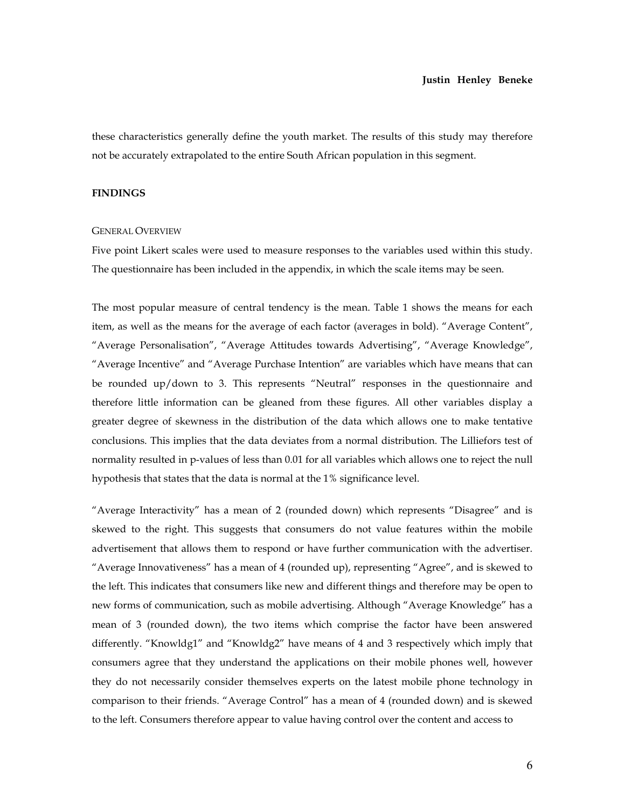these characteristics generally define the youth market. The results of this study may therefore not be accurately extrapolated to the entire South African population in this segment.

#### **FINDINGS**

#### GENERAL OVERVIEW

Five point Likert scales were used to measure responses to the variables used within this study. The questionnaire has been included in the appendix, in which the scale items may be seen.

The most popular measure of central tendency is the mean. Table 1 shows the means for each item, as well as the means for the average of each factor (averages in bold). "Average Content", "Average Personalisation", "Average Attitudes towards Advertising", "Average Knowledge", "Average Incentive" and "Average Purchase Intention" are variables which have means that can be rounded up/down to 3. This represents "Neutral" responses in the questionnaire and therefore little information can be gleaned from these figures. All other variables display a greater degree of skewness in the distribution of the data which allows one to make tentative conclusions. This implies that the data deviates from a normal distribution. The Lilliefors test of normality resulted in p-values of less than 0.01 for all variables which allows one to reject the null hypothesis that states that the data is normal at the 1% significance level.

"Average Interactivity" has a mean of 2 (rounded down) which represents "Disagree" and is skewed to the right. This suggests that consumers do not value features within the mobile advertisement that allows them to respond or have further communication with the advertiser. "Average Innovativeness" has a mean of 4 (rounded up), representing "Agree", and is skewed to the left. This indicates that consumers like new and different things and therefore may be open to new forms of communication, such as mobile advertising. Although "Average Knowledge" has a mean of 3 (rounded down), the two items which comprise the factor have been answered differently. "Knowldg1" and "Knowldg2" have means of 4 and 3 respectively which imply that consumers agree that they understand the applications on their mobile phones well, however they do not necessarily consider themselves experts on the latest mobile phone technology in comparison to their friends. "Average Control" has a mean of 4 (rounded down) and is skewed to the left. Consumers therefore appear to value having control over the content and access to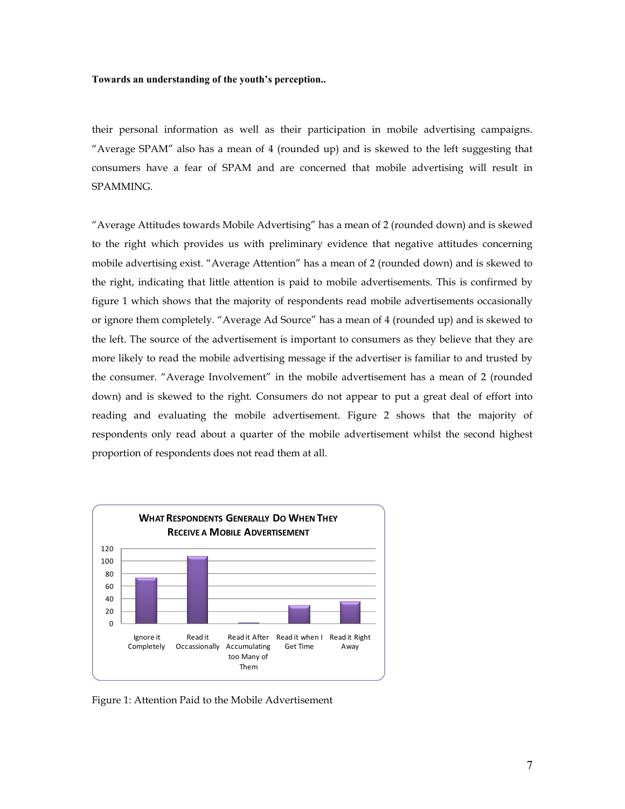their personal information as well as their participation in mobile advertising campaigns. "Average SPAM" also has a mean of 4 (rounded up) and is skewed to the left suggesting that consumers have a fear of SPAM and are concerned that mobile advertising will result in SPAMMING.

"Average Attitudes towards Mobile Advertising" has a mean of 2 (rounded down) and is skewed to the right which provides us with preliminary evidence that negative attitudes concerning mobile advertising exist. "Average Attention" has a mean of 2 (rounded down) and is skewed to the right, indicating that little attention is paid to mobile advertisements. This is confirmed by figure 1 which shows that the majority of respondents read mobile advertisements occasionally or ignore them completely. "Average Ad Source" has a mean of 4 (rounded up) and is skewed to the left. The source of the advertisement is important to consumers as they believe that they are more likely to read the mobile advertising message if the advertiser is familiar to and trusted by the consumer. "Average Involvement" in the mobile advertisement has a mean of 2 (rounded down) and is skewed to the right. Consumers do not appear to put a great deal of effort into reading and evaluating the mobile advertisement. Figure 2 shows that the majority of respondents only read about a quarter of the mobile advertisement whilst the second highest proportion of respondents does not read them at all.



Figure 1: Attention Paid to the Mobile Advertisement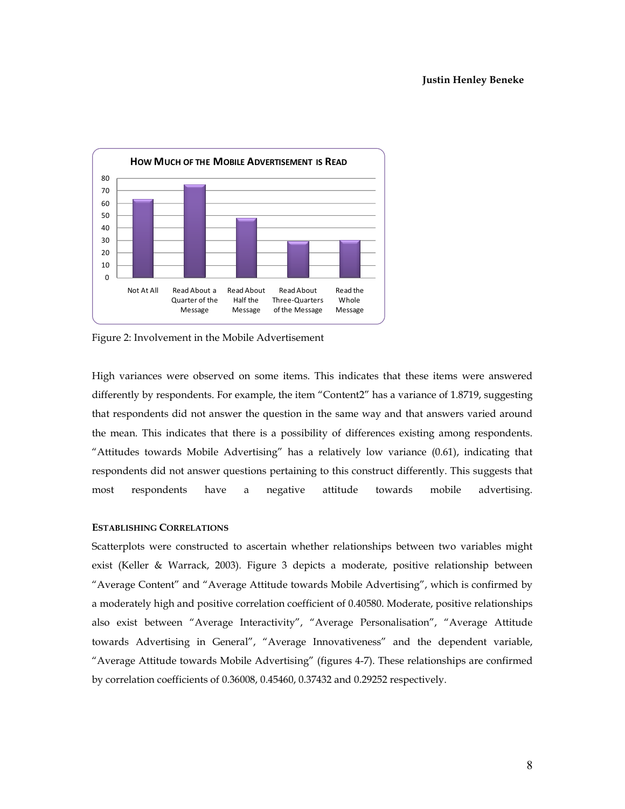

Figure 2: Involvement in the Mobile Advertisement

High variances were observed on some items. This indicates that these items were answered differently by respondents. For example, the item "Content2" has a variance of 1.8719, suggesting that respondents did not answer the question in the same way and that answers varied around the mean. This indicates that there is a possibility of differences existing among respondents. "Attitudes towards Mobile Advertising" has a relatively low variance (0.61), indicating that respondents did not answer questions pertaining to this construct differently. This suggests that most respondents have a negative attitude towards mobile advertising.

#### **ESTABLISHING CORRELATIONS**

Scatterplots were constructed to ascertain whether relationships between two variables might exist (Keller & Warrack, 2003). Figure 3 depicts a moderate, positive relationship between "Average Content" and "Average Attitude towards Mobile Advertising", which is confirmed by a moderately high and positive correlation coefficient of 0.40580. Moderate, positive relationships also exist between "Average Interactivity", "Average Personalisation", "Average Attitude towards Advertising in General", "Average Innovativeness" and the dependent variable, "Average Attitude towards Mobile Advertising" (figures 4-7). These relationships are confirmed by correlation coefficients of 0.36008, 0.45460, 0.37432 and 0.29252 respectively.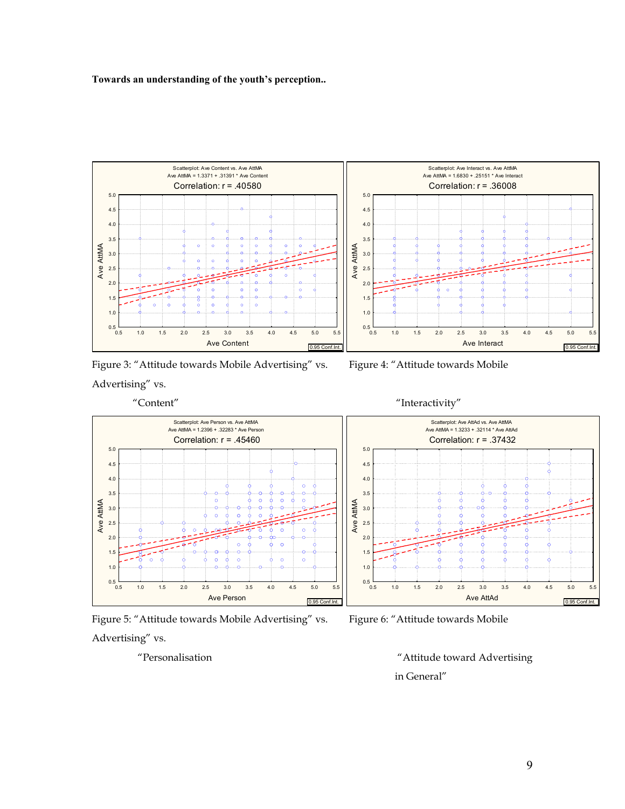

Figure 3: "Attitude towards Mobile Advertising" vs. Figure 4: "Attitude towards Mobile Advertising" vs.









"Personalisation "Attitude toward Advertising in General"

9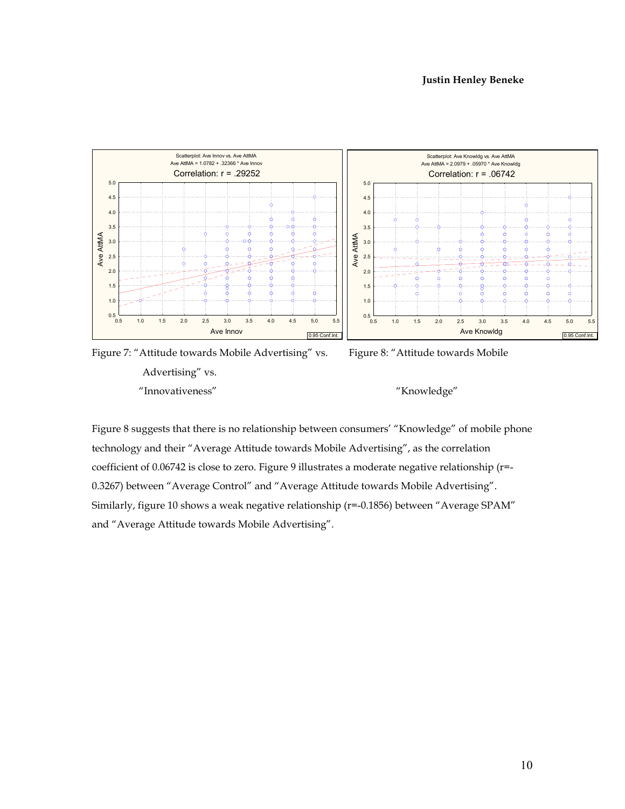

Figure 7: "Attitude towards Mobile Advertising" vs. Figure 8: "Attitude towards Mobile Advertising" vs. "Innovativeness" "Knowledge"

Figure 8 suggests that there is no relationship between consumers' "Knowledge" of mobile phone technology and their "Average Attitude towards Mobile Advertising", as the correlation coefficient of 0.06742 is close to zero. Figure 9 illustrates a moderate negative relationship (r=- 0.3267) between "Average Control" and "Average Attitude towards Mobile Advertising". Similarly, figure 10 shows a weak negative relationship (r=-0.1856) between "Average SPAM" and "Average Attitude towards Mobile Advertising".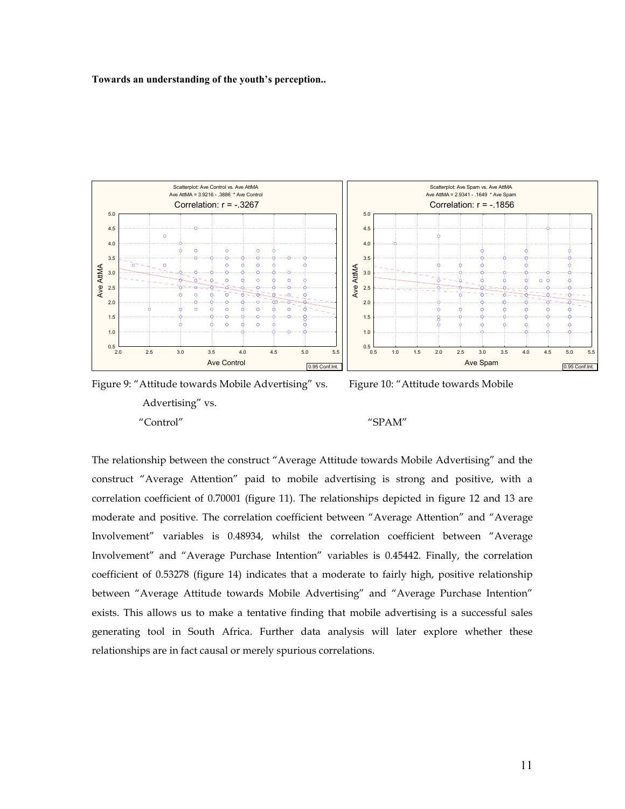



The relationship between the construct "Average Attitude towards Mobile Advertising" and the construct "Average Attention" paid to mobile advertising is strong and positive, with a correlation coefficient of 0.70001 (figure 11). The relationships depicted in figure 12 and 13 are moderate and positive. The correlation coefficient between "Average Attention" and "Average Involvement" variables is 0.48934, whilst the correlation coefficient between "Average Involvement" and "Average Purchase Intention" variables is 0.45442. Finally, the correlation coefficient of 0.53278 (figure 14) indicates that a moderate to fairly high, positive relationship between "Average Attitude towards Mobile Advertising" and "Average Purchase Intention" exists. This allows us to make a tentative finding that mobile advertising is a successful sales generating tool in South Africa. Further data analysis will later explore whether these relationships are in fact causal or merely spurious correlations.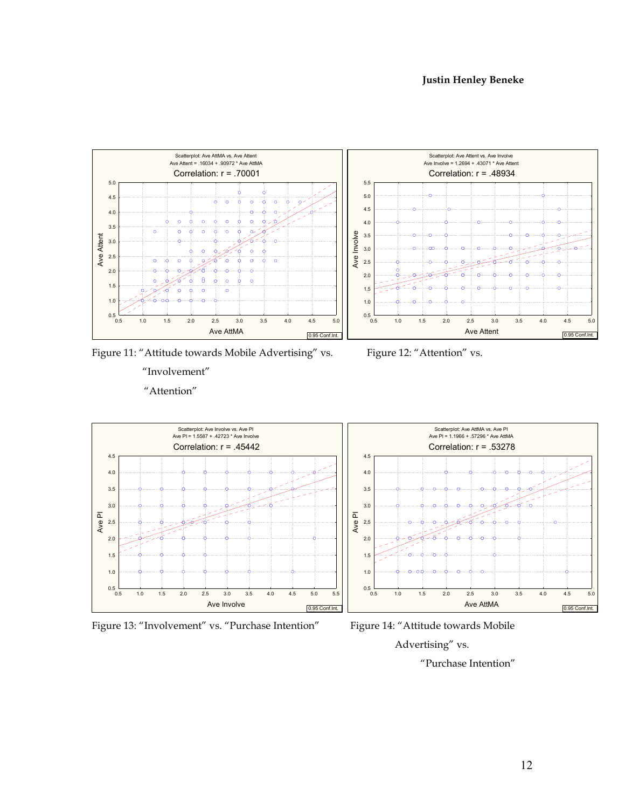

Scatterplot: Ave Attent vs. Ave Involve Ave Involve = 1.2694 + .43071 \* Ave Attent Correlation: r = .48934 5.5 5.0 ö 4.5  $\Omega$ ö, 4.0  $\circ$  $\bullet$ Ave Involve 3.5 3.0 2.5 2.0 1.5 1.0  $0.5$  0.5 0.5 1.0 1.5 2.0 2.5 3.0 3.5 4.0 4.5 5.0 Ave Attent 0.95 Conf.Int.

Figure 11: "Attitude towards Mobile Advertising" vs. Figure 12: "Attention" vs.

"Involvement" "Attention"





Figure 13: "Involvement" vs. "Purchase Intention" Figure 14: "Attitude towards Mobile



Advertising" vs.

"Purchase Intention"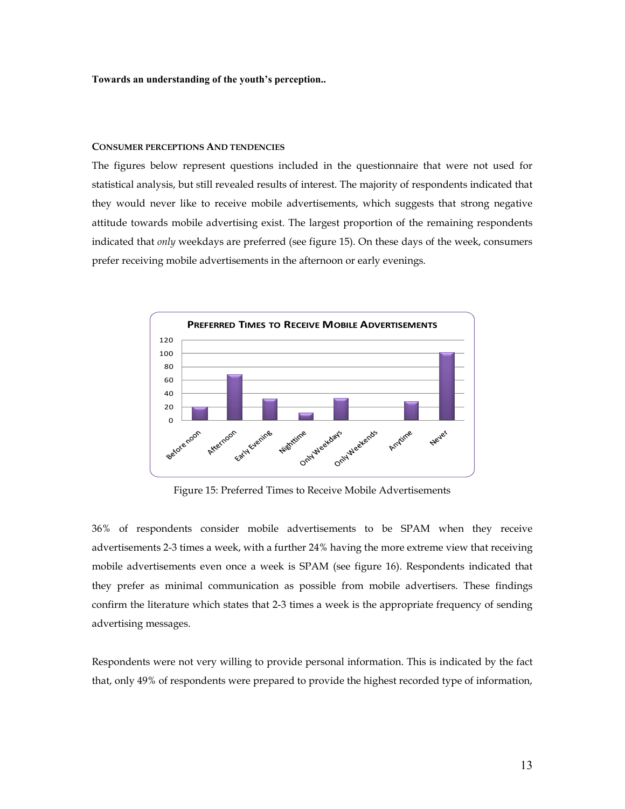#### **CONSUMER PERCEPTIONS AND TENDENCIES**

The figures below represent questions included in the questionnaire that were not used for statistical analysis, but still revealed results of interest. The majority of respondents indicated that they would never like to receive mobile advertisements, which suggests that strong negative attitude towards mobile advertising exist. The largest proportion of the remaining respondents indicated that *only* weekdays are preferred (see figure 15). On these days of the week, consumers prefer receiving mobile advertisements in the afternoon or early evenings.



Figure 15: Preferred Times to Receive Mobile Advertisements

36% of respondents consider mobile advertisements to be SPAM when they receive advertisements 2-3 times a week, with a further 24% having the more extreme view that receiving mobile advertisements even once a week is SPAM (see figure 16). Respondents indicated that they prefer as minimal communication as possible from mobile advertisers. These findings confirm the literature which states that 2-3 times a week is the appropriate frequency of sending advertising messages.

Respondents were not very willing to provide personal information. This is indicated by the fact that, only 49% of respondents were prepared to provide the highest recorded type of information,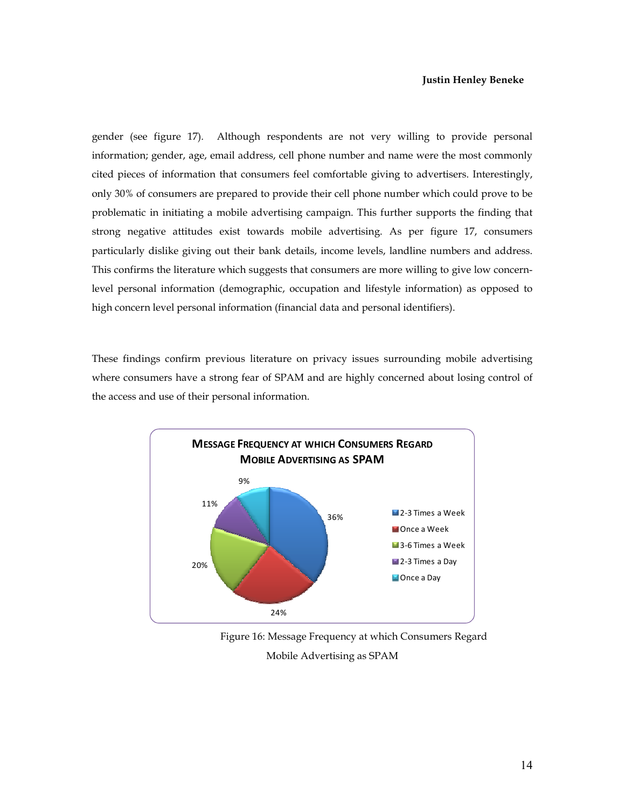#### **Justin Henley Beneke**

gender (see figure 17). Although respondents are not very willing to provide personal information; gender, age, email address, cell phone number and name were the most commonly cited pieces of information that consumers feel comfortable giving to advertisers. Interestingly, only 30% of consumers are prepared to provide their cell phone number which could prove to be problematic in initiating a mobile advertising campaign. This further supports the finding that strong negative attitudes exist towards mobile advertising. As per figure 17, consumers particularly dislike giving out their bank details, income levels, landline numbers and address. This confirms the literature which suggests that consumers are more willing to give low concernlevel personal information (demographic, occupation and lifestyle information) as opposed to high concern level personal information (financial data and personal identifiers).

These findings confirm previous literature on privacy issues surrounding mobile advertising where consumers have a strong fear of SPAM and are highly concerned about losing control of the access and use of their personal information.



Figure 16: Message Frequency at which Consumers Regard Mobile Advertising as SPAM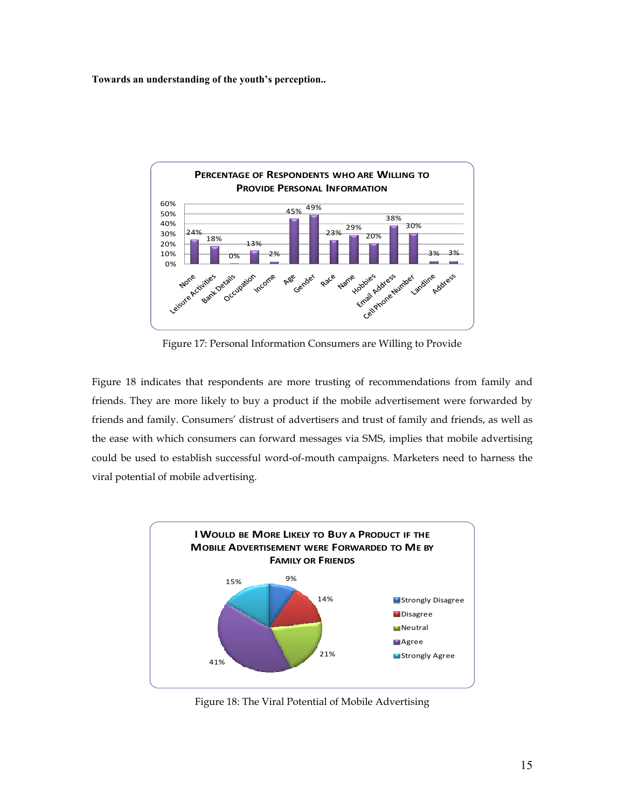

Figure 17: Personal Information Consumers are Willing to Provide

Figure 18 indicates that respondents are more trusting of recommendations from family and friends. They are more likely to buy a product if the mobile advertisement were forwarded by friends and family. Consumers' distrust of advertisers and trust of family and friends, as well as the ease with which consumers can forward messages via SMS, implies that mobile advertising could be used to establish successful word-of-mouth campaigns. Marketers need to harness the viral potential of mobile advertising.



Figure 18: The Viral Potential of Mobile Advertising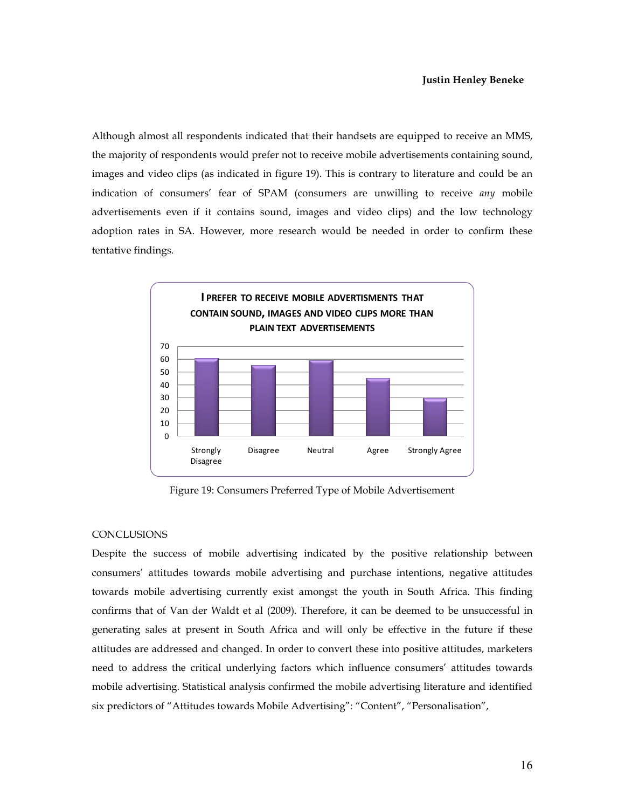Although almost all respondents indicated that their handsets are equipped to receive an MMS, the majority of respondents would prefer not to receive mobile advertisements containing sound, images and video clips (as indicated in figure 19). This is contrary to literature and could be an indication of consumers' fear of SPAM (consumers are unwilling to receive *any* mobile advertisements even if it contains sound, images and video clips) and the low technology adoption rates in SA. However, more research would be needed in order to confirm these tentative findings.



Figure 19: Consumers Preferred Type of Mobile Advertisement

#### **CONCLUSIONS**

Despite the success of mobile advertising indicated by the positive relationship between consumers' attitudes towards mobile advertising and purchase intentions, negative attitudes towards mobile advertising currently exist amongst the youth in South Africa. This finding confirms that of Van der Waldt et al (2009). Therefore, it can be deemed to be unsuccessful in generating sales at present in South Africa and will only be effective in the future if these attitudes are addressed and changed. In order to convert these into positive attitudes, marketers need to address the critical underlying factors which influence consumers' attitudes towards mobile advertising. Statistical analysis confirmed the mobile advertising literature and identified six predictors of "Attitudes towards Mobile Advertising": "Content", "Personalisation",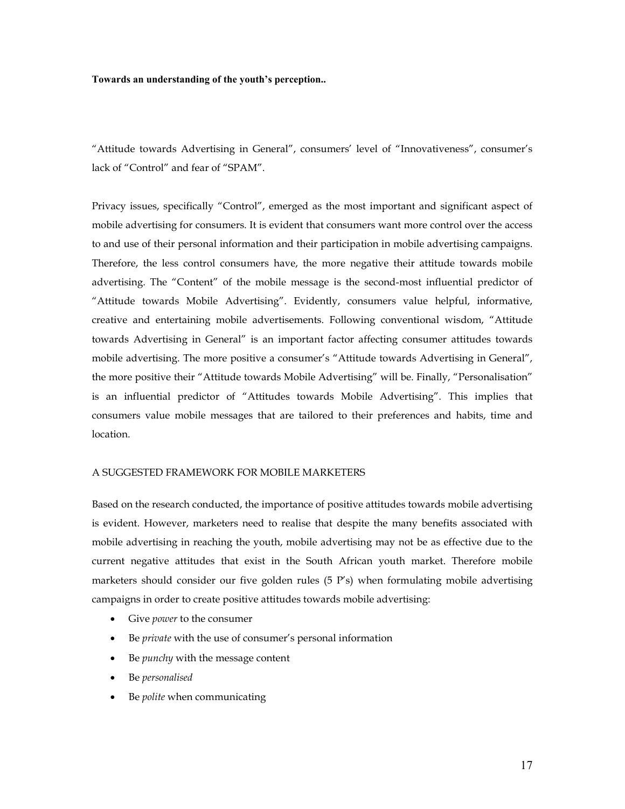"Attitude towards Advertising in General", consumers' level of "Innovativeness", consumer's lack of "Control" and fear of "SPAM".

Privacy issues, specifically "Control", emerged as the most important and significant aspect of mobile advertising for consumers. It is evident that consumers want more control over the access to and use of their personal information and their participation in mobile advertising campaigns. Therefore, the less control consumers have, the more negative their attitude towards mobile advertising. The "Content" of the mobile message is the second-most influential predictor of "Attitude towards Mobile Advertising". Evidently, consumers value helpful, informative, creative and entertaining mobile advertisements. Following conventional wisdom, "Attitude towards Advertising in General" is an important factor affecting consumer attitudes towards mobile advertising. The more positive a consumer's "Attitude towards Advertising in General", the more positive their "Attitude towards Mobile Advertising" will be. Finally, "Personalisation" is an influential predictor of "Attitudes towards Mobile Advertising". This implies that consumers value mobile messages that are tailored to their preferences and habits, time and location.

#### A SUGGESTED FRAMEWORK FOR MOBILE MARKETERS

Based on the research conducted, the importance of positive attitudes towards mobile advertising is evident. However, marketers need to realise that despite the many benefits associated with mobile advertising in reaching the youth, mobile advertising may not be as effective due to the current negative attitudes that exist in the South African youth market. Therefore mobile marketers should consider our five golden rules (5 P's) when formulating mobile advertising campaigns in order to create positive attitudes towards mobile advertising:

- Give *power* to the consumer
- Be *private* with the use of consumer's personal information
- Be *punchy* with the message content
- Be *personalised*
- Be *polite* when communicating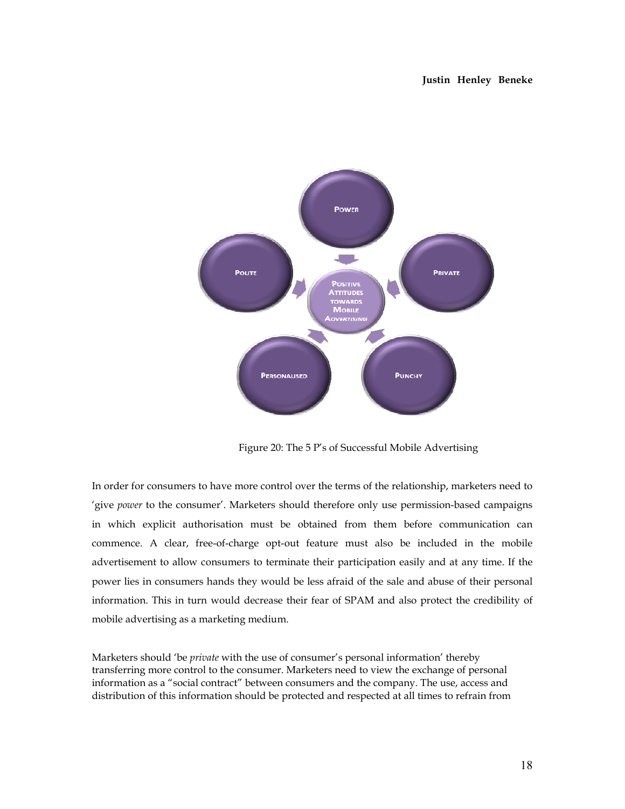

Figure 20: The 5 P's of Successful Mobile Advertising

In order for consumers to have more control over the terms of the relationship, marketers need to 'give *power* to the consumer'. Marketers should therefore only use permission-based campaigns in which explicit authorisation must be obtained from them before communication can commence. A clear, free-of-charge opt-out feature must also be included in the mobile advertisement to allow consumers to terminate their participation easily and at any time. If the power lies in consumers hands they would be less afraid of the sale and abuse of their personal information. This in turn would decrease their fear of SPAM and also protect the credibility of mobile advertising as a marketing medium.

Marketers should 'be *private* with the use of consumer's personal information' thereby transferring more control to the consumer. Marketers need to view the exchange of personal information as a "social contract" between consumers and the company. The use, access and distribution of this information should be protected and respected at all times to refrain from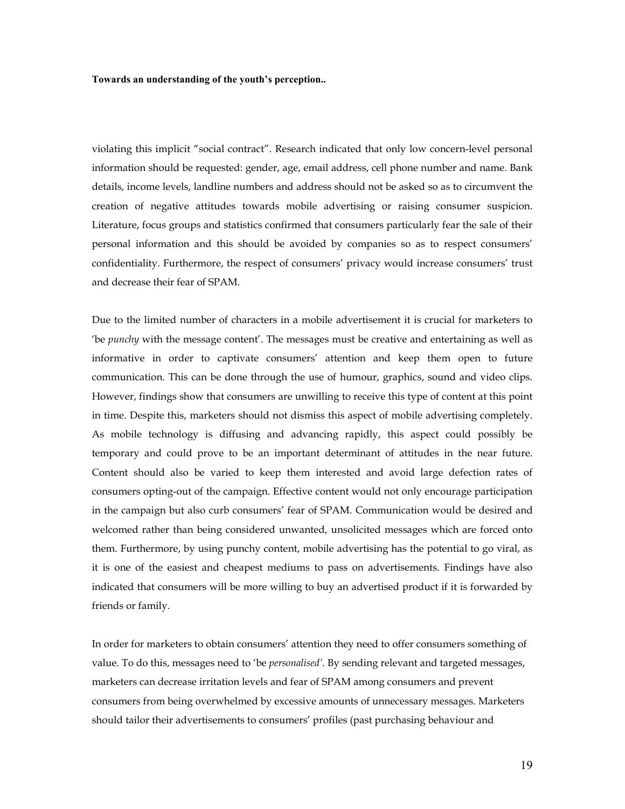violating this implicit "social contract". Research indicated that only low concern-level personal information should be requested: gender, age, email address, cell phone number and name. Bank details, income levels, landline numbers and address should not be asked so as to circumvent the creation of negative attitudes towards mobile advertising or raising consumer suspicion. Literature, focus groups and statistics confirmed that consumers particularly fear the sale of their personal information and this should be avoided by companies so as to respect consumers' confidentiality. Furthermore, the respect of consumers' privacy would increase consumers' trust and decrease their fear of SPAM.

Due to the limited number of characters in a mobile advertisement it is crucial for marketers to 'be *punchy* with the message content'. The messages must be creative and entertaining as well as informative in order to captivate consumers' attention and keep them open to future communication. This can be done through the use of humour, graphics, sound and video clips. However, findings show that consumers are unwilling to receive this type of content at this point in time. Despite this, marketers should not dismiss this aspect of mobile advertising completely. As mobile technology is diffusing and advancing rapidly, this aspect could possibly be temporary and could prove to be an important determinant of attitudes in the near future. Content should also be varied to keep them interested and avoid large defection rates of consumers opting-out of the campaign. Effective content would not only encourage participation in the campaign but also curb consumers' fear of SPAM. Communication would be desired and welcomed rather than being considered unwanted, unsolicited messages which are forced onto them. Furthermore, by using punchy content, mobile advertising has the potential to go viral, as it is one of the easiest and cheapest mediums to pass on advertisements. Findings have also indicated that consumers will be more willing to buy an advertised product if it is forwarded by friends or family.

In order for marketers to obtain consumers' attention they need to offer consumers something of value. To do this, messages need to 'be *personalised'.* By sending relevant and targeted messages, marketers can decrease irritation levels and fear of SPAM among consumers and prevent consumers from being overwhelmed by excessive amounts of unnecessary messages. Marketers should tailor their advertisements to consumers' profiles (past purchasing behaviour and

19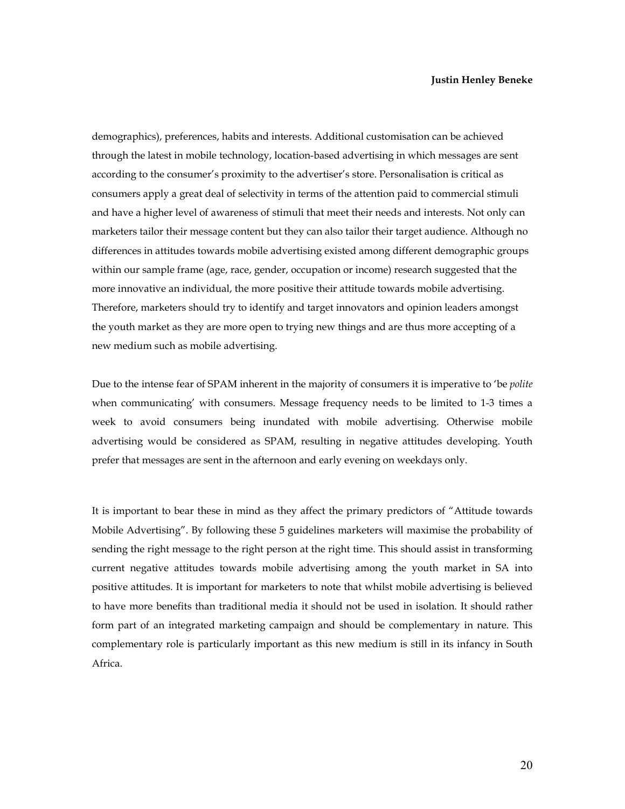demographics), preferences, habits and interests. Additional customisation can be achieved through the latest in mobile technology, location-based advertising in which messages are sent according to the consumer's proximity to the advertiser's store. Personalisation is critical as consumers apply a great deal of selectivity in terms of the attention paid to commercial stimuli and have a higher level of awareness of stimuli that meet their needs and interests. Not only can marketers tailor their message content but they can also tailor their target audience. Although no differences in attitudes towards mobile advertising existed among different demographic groups within our sample frame (age, race, gender, occupation or income) research suggested that the more innovative an individual, the more positive their attitude towards mobile advertising. Therefore, marketers should try to identify and target innovators and opinion leaders amongst the youth market as they are more open to trying new things and are thus more accepting of a new medium such as mobile advertising.

Due to the intense fear of SPAM inherent in the majority of consumers it is imperative to 'be *polite* when communicating' with consumers. Message frequency needs to be limited to 1-3 times a week to avoid consumers being inundated with mobile advertising. Otherwise mobile advertising would be considered as SPAM, resulting in negative attitudes developing. Youth prefer that messages are sent in the afternoon and early evening on weekdays only.

It is important to bear these in mind as they affect the primary predictors of "Attitude towards Mobile Advertising". By following these 5 guidelines marketers will maximise the probability of sending the right message to the right person at the right time. This should assist in transforming current negative attitudes towards mobile advertising among the youth market in SA into positive attitudes. It is important for marketers to note that whilst mobile advertising is believed to have more benefits than traditional media it should not be used in isolation. It should rather form part of an integrated marketing campaign and should be complementary in nature. This complementary role is particularly important as this new medium is still in its infancy in South Africa.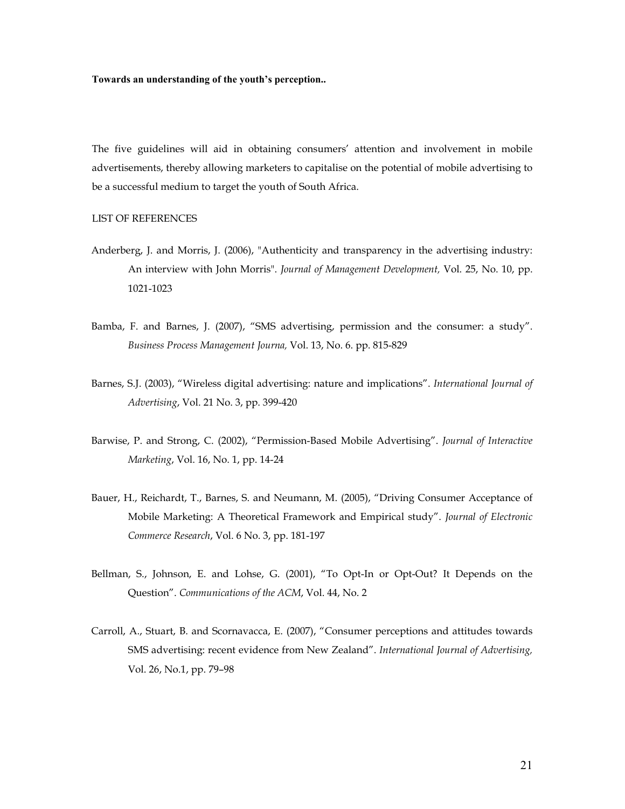The five guidelines will aid in obtaining consumers' attention and involvement in mobile advertisements, thereby allowing marketers to capitalise on the potential of mobile advertising to be a successful medium to target the youth of South Africa.

### LIST OF REFERENCES

- Anderberg, J. and Morris, J. (2006), "Authenticity and transparency in the advertising industry: An interview with John Morris". *Journal of Management Development,* Vol. 25, No. 10, pp. 1021-1023
- Bamba, F. and Barnes, J. (2007), "SMS advertising, permission and the consumer: a study". *Business Process Management Journa,* Vol. 13, No. 6. pp. 815-829
- Barnes, S.J. (2003), "Wireless digital advertising: nature and implications". *International Journal of Advertising*, Vol. 21 No. 3, pp. 399-420
- Barwise, P. and Strong, C. (2002), "Permission-Based Mobile Advertising". *Journal of Interactive Marketing*, Vol. 16, No. 1, pp. 14-24
- Bauer, H., Reichardt, T., Barnes, S. and Neumann, M. (2005), "Driving Consumer Acceptance of Mobile Marketing: A Theoretical Framework and Empirical study". *Journal of Electronic Commerce Research*, Vol. 6 No. 3, pp. 181-197
- Bellman, S., Johnson, E. and Lohse, G. (2001), "To Opt-In or Opt-Out? It Depends on the Question". *Communications of the ACM*, Vol. 44, No. 2
- Carroll, A., Stuart, B. and Scornavacca, E. (2007), "Consumer perceptions and attitudes towards SMS advertising: recent evidence from New Zealand". *International Journal of Advertising,* Vol. 26, No.1, pp. 79–98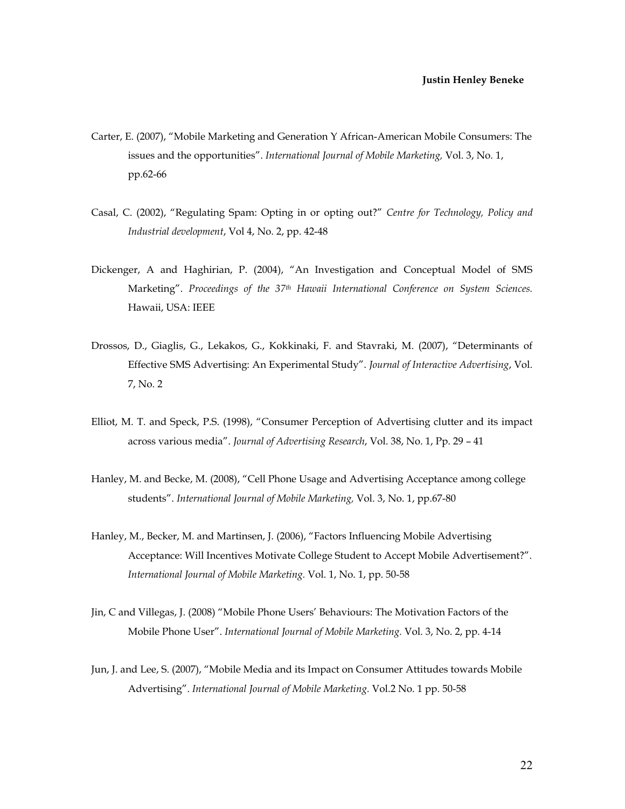- Carter, E. (2007), "Mobile Marketing and Generation Y African-American Mobile Consumers: The issues and the opportunities". *International Journal of Mobile Marketing,* Vol. 3, No. 1, pp.62-66
- Casal, C. (2002), "Regulating Spam: Opting in or opting out?" *Centre for Technology, Policy and Industrial development*, Vol 4, No. 2, pp. 42-48
- Dickenger, A and Haghirian, P. (2004), "An Investigation and Conceptual Model of SMS Marketing". *Proceedings of the 37th Hawaii International Conference on System Sciences.*  Hawaii, USA: IEEE
- Drossos, D., Giaglis, G., Lekakos, G., Kokkinaki, F. and Stavraki, M. (2007), "Determinants of Effective SMS Advertising: An Experimental Study". *Journal of Interactive Advertising*, Vol. 7, No. 2
- Elliot, M. T. and Speck, P.S. (1998), "Consumer Perception of Advertising clutter and its impact across various media". *Journal of Advertising Research*, Vol. 38, No. 1, Pp. 29 – 41
- Hanley, M. and Becke, M. (2008), "Cell Phone Usage and Advertising Acceptance among college students". *International Journal of Mobile Marketing,* Vol. 3, No. 1, pp.67-80
- Hanley, M., Becker, M. and Martinsen, J. (2006), "Factors Influencing Mobile Advertising Acceptance: Will Incentives Motivate College Student to Accept Mobile Advertisement?". *International Journal of Mobile Marketing.* Vol. 1, No. 1, pp. 50-58
- Jin, C and Villegas, J. (2008) "Mobile Phone Users' Behaviours: The Motivation Factors of the Mobile Phone User". *International Journal of Mobile Marketing.* Vol. 3, No. 2, pp. 4-14
- Jun, J. and Lee, S. (2007), "Mobile Media and its Impact on Consumer Attitudes towards Mobile Advertising". *International Journal of Mobile Marketing.* Vol.2 No. 1 pp. 50-58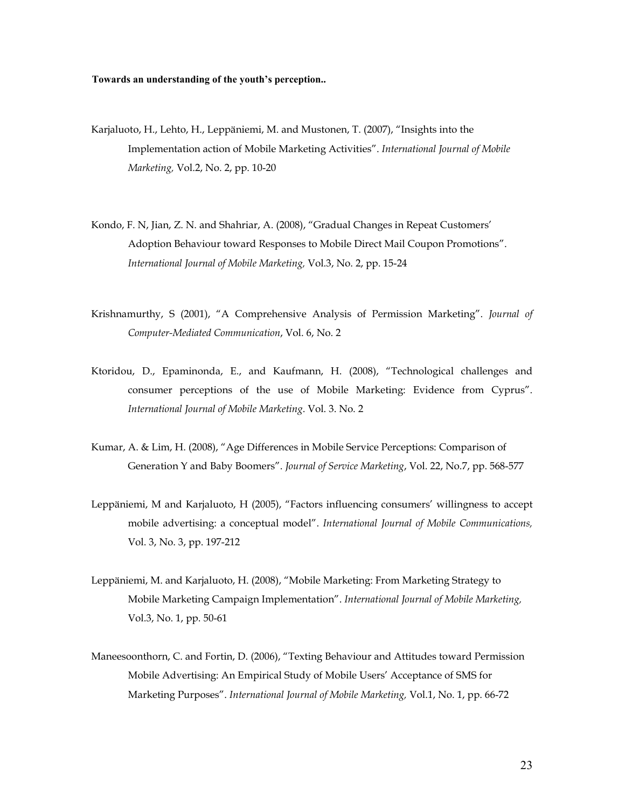- Karjaluoto, H., Lehto, H., Leppäniemi, M. and Mustonen, T. (2007), "Insights into the Implementation action of Mobile Marketing Activities". *International Journal of Mobile Marketing,* Vol.2, No. 2, pp. 10-20
- Kondo, F. N, Jian, Z. N. and Shahriar, A. (2008), "Gradual Changes in Repeat Customers' Adoption Behaviour toward Responses to Mobile Direct Mail Coupon Promotions". *International Journal of Mobile Marketing,* Vol.3, No. 2, pp. 15-24
- Krishnamurthy, S (2001), "A Comprehensive Analysis of Permission Marketing". *Journal of Computer-Mediated Communication*, Vol. 6, No. 2
- Ktoridou, D., Epaminonda, E., and Kaufmann, H. (2008), "Technological challenges and consumer perceptions of the use of Mobile Marketing: Evidence from Cyprus". *International Journal of Mobile Marketing*. Vol. 3. No. 2
- Kumar, A. & Lim, H. (2008), "Age Differences in Mobile Service Perceptions: Comparison of Generation Y and Baby Boomers". *Journal of Service Marketing*, Vol. 22, No.7, pp. 568-577
- Leppäniemi, M and Karjaluoto, H (2005), "Factors influencing consumers' willingness to accept mobile advertising: a conceptual model". *International Journal of Mobile Communications,*  Vol. 3, No. 3, pp. 197-212
- Leppäniemi, M. and Karjaluoto, H. (2008), "Mobile Marketing: From Marketing Strategy to Mobile Marketing Campaign Implementation". *International Journal of Mobile Marketing,*  Vol.3, No. 1, pp. 50-61
- Maneesoonthorn, C. and Fortin, D. (2006), "Texting Behaviour and Attitudes toward Permission Mobile Advertising: An Empirical Study of Mobile Users' Acceptance of SMS for Marketing Purposes". *International Journal of Mobile Marketing,* Vol.1, No. 1, pp. 66-72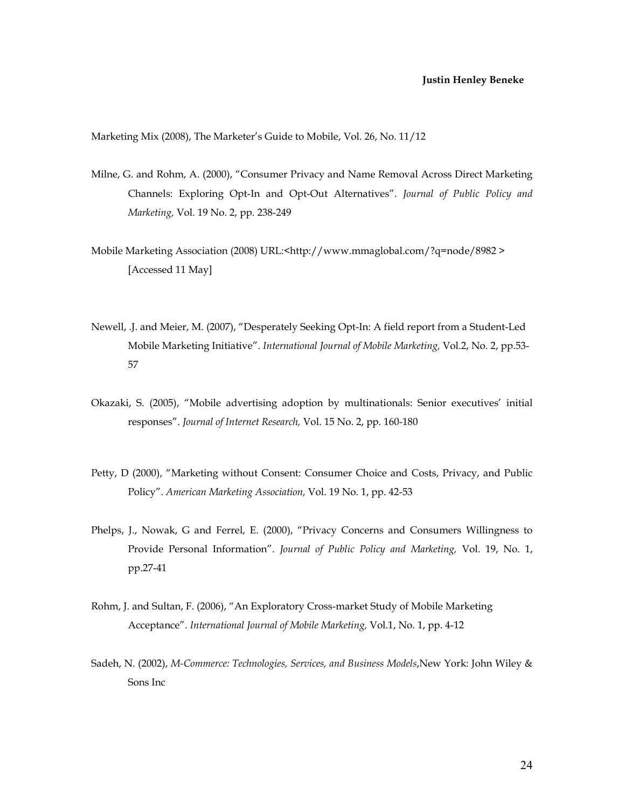Marketing Mix (2008), The Marketer's Guide to Mobile, Vol. 26, No. 11/12

- Milne, G. and Rohm, A. (2000), "Consumer Privacy and Name Removal Across Direct Marketing Channels: Exploring Opt-In and Opt-Out Alternatives". *Journal of Public Policy and Marketing,* Vol. 19 No. 2, pp. 238-249
- Mobile Marketing Association (2008) URL:<http://www.mmaglobal.com/?q=node/8982 > [Accessed 11 May]
- Newell, .J. and Meier, M. (2007), "Desperately Seeking Opt-In: A field report from a Student-Led Mobile Marketing Initiative". *International Journal of Mobile Marketing,* Vol.2, No. 2, pp.53- 57
- Okazaki, S. (2005), "Mobile advertising adoption by multinationals: Senior executives' initial responses". *Journal of Internet Research,* Vol. 15 No. 2, pp. 160-180
- Petty, D (2000), "Marketing without Consent: Consumer Choice and Costs, Privacy, and Public Policy". *American Marketing Association,* Vol. 19 No. 1, pp. 42-53
- Phelps, J., Nowak, G and Ferrel, E. (2000), "Privacy Concerns and Consumers Willingness to Provide Personal Information". *Journal of Public Policy and Marketing,* Vol. 19, No. 1, pp.27-41
- Rohm, J. and Sultan, F. (2006), "An Exploratory Cross-market Study of Mobile Marketing Acceptance". *International Journal of Mobile Marketing,* Vol.1, No. 1, pp. 4-12
- Sadeh, N. (2002), *M-Commerce: Technologies, Services, and Business Models*,New York: John Wiley & Sons Inc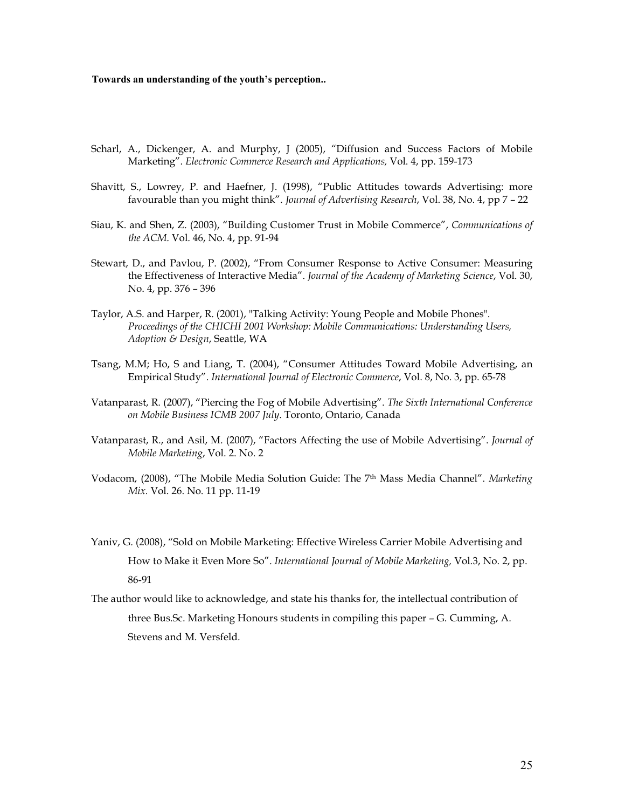- Scharl, A*.*, Dickenger, A. and Murphy, J (2005), "Diffusion and Success Factors of Mobile Marketing". *Electronic Commerce Research and Applications,* Vol. 4, pp. 159-173
- Shavitt, S., Lowrey, P. and Haefner, J. (1998), "Public Attitudes towards Advertising: more favourable than you might think". *Journal of Advertising Research*, Vol. 38, No. 4, pp 7 – 22
- Siau, K. and Shen, Z. (2003), "Building Customer Trust in Mobile Commerce", *Communications of the ACM*. Vol. 46, No. 4, pp. 91-94
- Stewart, D., and Pavlou, P. (2002), "From Consumer Response to Active Consumer: Measuring the Effectiveness of Interactive Media". *Journal of the Academy of Marketing Science*, Vol. 30, No. 4, pp. 376 – 396
- Taylor, A.S. and Harper, R. (2001), "Talking Activity: Young People and Mobile Phones". *Proceedings of the CHICHI 2001 Workshop: Mobile Communications: Understanding Users, Adoption & Design*, Seattle, WA
- Tsang, M.M; Ho, S and Liang, T. (2004), "Consumer Attitudes Toward Mobile Advertising, an Empirical Study". *International Journal of Electronic Commerce*, Vol. 8, No. 3, pp. 65-78
- Vatanparast, R. (2007), "Piercing the Fog of Mobile Advertising". *The Sixth International Conference on Mobile Business ICMB 2007 July*. Toronto, Ontario, Canada
- Vatanparast, R., and Asil, M. (2007), "Factors Affecting the use of Mobile Advertising". *Journal of Mobile Marketing*, Vol. 2. No. 2
- Vodacom, (2008), "The Mobile Media Solution Guide: The 7th Mass Media Channel". *Marketing Mix.* Vol. 26. No. 11 pp. 11-19
- Yaniv, G. (2008), "Sold on Mobile Marketing: Effective Wireless Carrier Mobile Advertising and How to Make it Even More So". *International Journal of Mobile Marketing,* Vol.3, No. 2, pp. 86-91

The author would like to acknowledge, and state his thanks for, the intellectual contribution of three Bus.Sc. Marketing Honours students in compiling this paper – G. Cumming, A. Stevens and M. Versfeld.